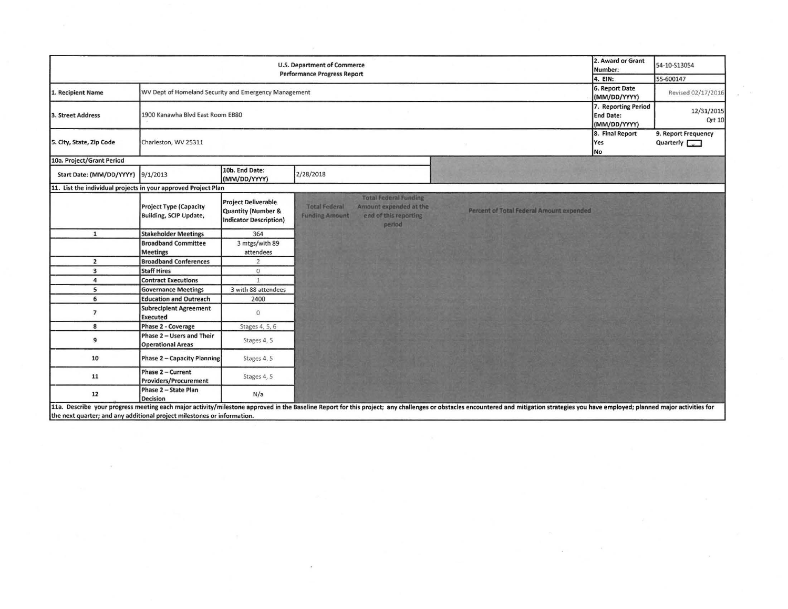|                                                                | 2. Award or Grant<br>Number:                            | 54-10-S13054                                                               |                                                                                                                                            |                                                                                                                                                                                                                                |                                                    |  |
|----------------------------------------------------------------|---------------------------------------------------------|----------------------------------------------------------------------------|--------------------------------------------------------------------------------------------------------------------------------------------|--------------------------------------------------------------------------------------------------------------------------------------------------------------------------------------------------------------------------------|----------------------------------------------------|--|
|                                                                | 4. EIN:                                                 | 55-600147                                                                  |                                                                                                                                            |                                                                                                                                                                                                                                |                                                    |  |
| 1. Recipient Name                                              | WV Dept of Homeland Security and Emergency Management   | 6. Report Date<br>(MM/DD/YYYY)                                             | Revised 02/17/2016                                                                                                                         |                                                                                                                                                                                                                                |                                                    |  |
| 3. Street Address                                              | 1900 Kanawha Blvd East Room EB80                        | 7. Reporting Period<br><b>End Date:</b><br>(MM/DD/YYYY)                    | 12/31/2015<br>Qrt 10                                                                                                                       |                                                                                                                                                                                                                                |                                                    |  |
| 5. City, State, Zip Code                                       | Charleston, WV 25311                                    |                                                                            |                                                                                                                                            | 8. Final Report<br><b>Yes</b><br><b>No</b>                                                                                                                                                                                     | 9. Report Frequency<br>Quarterly $\sqrt{\sqrt{2}}$ |  |
| 10a. Project/Grant Period                                      |                                                         |                                                                            |                                                                                                                                            |                                                                                                                                                                                                                                |                                                    |  |
| Start Date: (MM/DD/YYYY) 9/1/2013                              |                                                         | 10b. End Date:<br>(MM/DD/YYYY)                                             | 2/28/2018                                                                                                                                  |                                                                                                                                                                                                                                |                                                    |  |
| 11. List the individual projects in your approved Project Plan |                                                         |                                                                            |                                                                                                                                            |                                                                                                                                                                                                                                |                                                    |  |
|                                                                | <b>Project Type (Capacity</b><br>Building, SCIP Update, | <b>Project Deliverable</b><br>Quantity (Number &<br>Indicator Description) | <b>Total Federal Funding</b><br><b>Total Federal</b><br>Amount expended at the<br>end of this reporting<br><b>Funding Amount</b><br>period | Percent of Total Federal Amount expended                                                                                                                                                                                       |                                                    |  |
| $\mathbf{1}$                                                   | <b>Stakeholder Meetings</b>                             | 364                                                                        |                                                                                                                                            |                                                                                                                                                                                                                                |                                                    |  |
|                                                                | <b>Broadband Committee</b>                              | 3 mtgs/with 89                                                             |                                                                                                                                            |                                                                                                                                                                                                                                |                                                    |  |
|                                                                | <b>Meetings</b>                                         | attendees                                                                  |                                                                                                                                            |                                                                                                                                                                                                                                |                                                    |  |
| $\overline{2}$                                                 | <b>Broadband Conferences</b>                            | $\overline{2}$                                                             |                                                                                                                                            |                                                                                                                                                                                                                                |                                                    |  |
| 3                                                              | <b>Staff Hires</b>                                      | $\circ$                                                                    |                                                                                                                                            |                                                                                                                                                                                                                                |                                                    |  |
| 4                                                              | <b>Contract Executions</b>                              | $\overline{1}$                                                             |                                                                                                                                            |                                                                                                                                                                                                                                |                                                    |  |
| 5                                                              | <b>Governance Meetings</b>                              | 3 with 88 attendees                                                        |                                                                                                                                            |                                                                                                                                                                                                                                |                                                    |  |
| 6                                                              | <b>Education and Outreach</b>                           | 2400                                                                       |                                                                                                                                            |                                                                                                                                                                                                                                |                                                    |  |
| $\overline{\phantom{a}}$                                       | <b>Subrecipient Agreement</b><br><b>Executed</b>        | $\circ$                                                                    |                                                                                                                                            |                                                                                                                                                                                                                                |                                                    |  |
| 8                                                              | Phase 2 - Coverage                                      | Stages 4, 5, 6                                                             |                                                                                                                                            |                                                                                                                                                                                                                                |                                                    |  |
| 9                                                              | Phase 2 - Users and Their<br><b>Operational Areas</b>   | Stages 4, 5                                                                |                                                                                                                                            |                                                                                                                                                                                                                                |                                                    |  |
| 10                                                             | <b>Phase 2 - Capacity Planning</b>                      | Stages 4, 5                                                                |                                                                                                                                            |                                                                                                                                                                                                                                |                                                    |  |
| 11                                                             | Phase 2 - Current<br>Providers/Procurement              | Stages 4, 5                                                                |                                                                                                                                            |                                                                                                                                                                                                                                |                                                    |  |
| 12                                                             | Phase 2 - State Plan<br>Decision                        | N/a                                                                        |                                                                                                                                            | 11a. Describe your progress meeting each major activity/milestone approved in the Baseline Report for this project: any challenges or obstacles encountered and mitigation strategies you have employed; planned major activit |                                                    |  |

I Lia. Describe your progress meeting each major activity/milestone approved<br>the next quarter; and any additional project milestones or information.